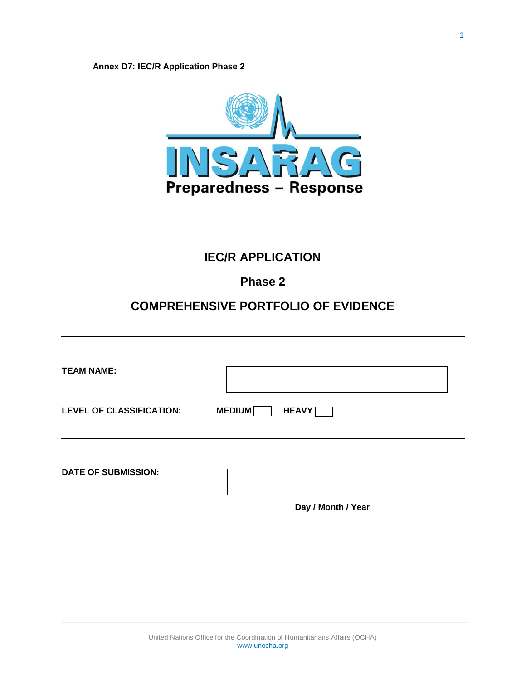**Annex D7: IEC/R Application Phase 2**



#### **IEC/R APPLICATION**

#### **Phase 2**

#### **COMPREHENSIVE PORTFOLIO OF EVIDENCE**

| <b>TEAM NAME:</b>               |                               |
|---------------------------------|-------------------------------|
| <b>LEVEL OF CLASSIFICATION:</b> | <b>MEDIUM</b><br><b>HEAVY</b> |
| <b>DATE OF SUBMISSION:</b>      |                               |

**Day / Month / Year**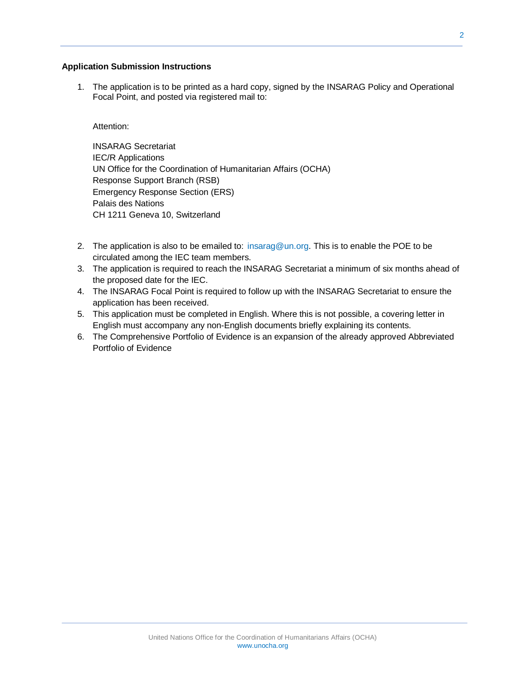#### **Application Submission Instructions**

1. The application is to be printed as a hard copy, signed by the INSARAG Policy and Operational Focal Point, and posted via registered mail to:

#### Attention:

INSARAG Secretariat IEC/R Applications UN Office for the Coordination of Humanitarian Affairs (OCHA) Response Support Branch (RSB) Emergency Response Section (ERS) Palais des Nations CH 1211 Geneva 10, Switzerland

- 2. The application is also to be emailed to: [insarag@un.org.](mailto:insarag@un.org) This is to enable the POE to be circulated among the IEC team members.
- 3. The application is required to reach the INSARAG Secretariat a minimum of six months ahead of the proposed date for the IEC.
- 4. The INSARAG Focal Point is required to follow up with the INSARAG Secretariat to ensure the application has been received.
- 5. This application must be completed in English. Where this is not possible, a covering letter in English must accompany any non-English documents briefly explaining its contents.
- 6. The Comprehensive Portfolio of Evidence is an expansion of the already approved Abbreviated Portfolio of Evidence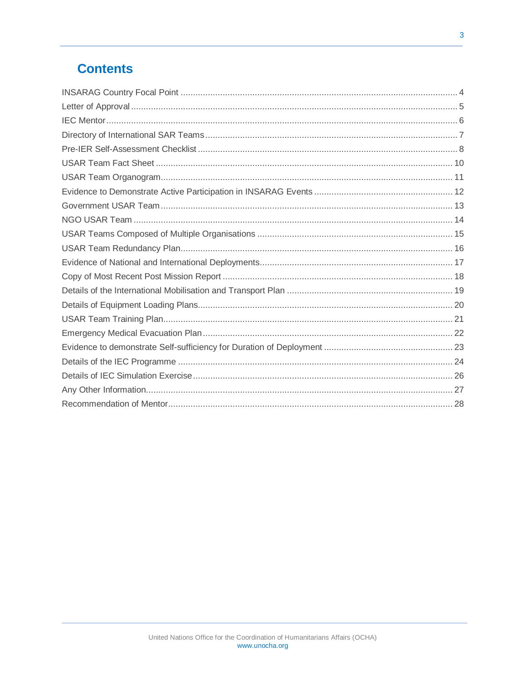# **Contents**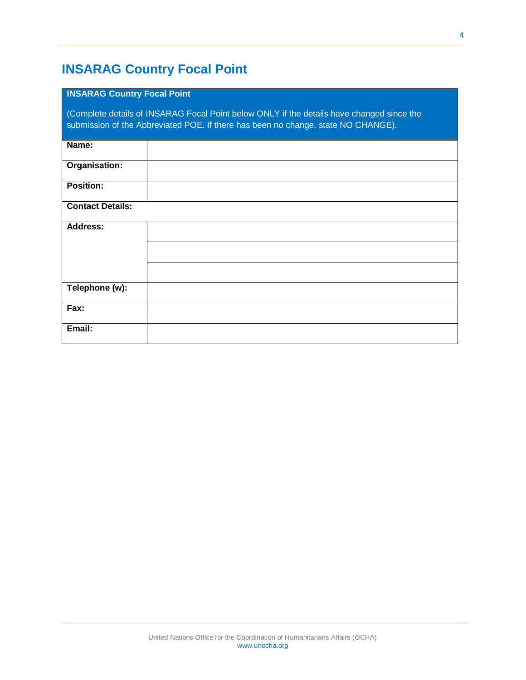## <span id="page-3-0"></span>**INSARAG Country Focal Point**

#### **INSARAG Country Focal Point**

(Complete details of INSARAG Focal Point below ONLY if the details have changed since the submission of the Abbreviated POE. If there has been no change, state NO CHANGE).

| Name:                   |  |
|-------------------------|--|
| Organisation:           |  |
| <b>Position:</b>        |  |
| <b>Contact Details:</b> |  |
| <b>Address:</b>         |  |
|                         |  |
|                         |  |
| Telephone (w):          |  |
| Fax:                    |  |
| Email:                  |  |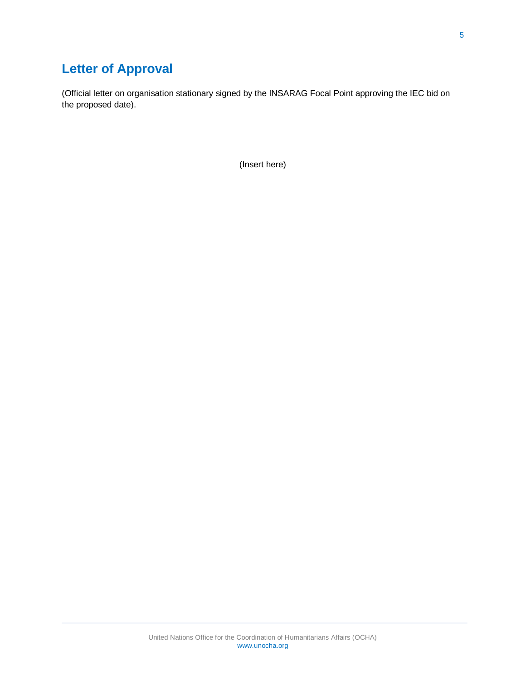# <span id="page-4-0"></span>**Letter of Approval**

(Official letter on organisation stationary signed by the INSARAG Focal Point approving the IEC bid on the proposed date).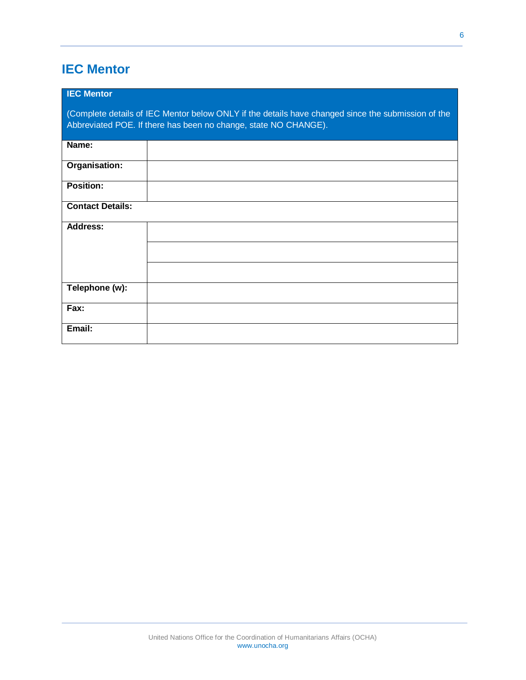# <span id="page-5-0"></span>**IEC Mentor**

| <b>IEC Mentor</b>       |                                                                                                                                                                       |
|-------------------------|-----------------------------------------------------------------------------------------------------------------------------------------------------------------------|
|                         | (Complete details of IEC Mentor below ONLY if the details have changed since the submission of the<br>Abbreviated POE. If there has been no change, state NO CHANGE). |
| Name:                   |                                                                                                                                                                       |
| Organisation:           |                                                                                                                                                                       |
| <b>Position:</b>        |                                                                                                                                                                       |
| <b>Contact Details:</b> |                                                                                                                                                                       |
| <b>Address:</b>         |                                                                                                                                                                       |
|                         |                                                                                                                                                                       |
|                         |                                                                                                                                                                       |
| Telephone (w):          |                                                                                                                                                                       |
| Fax:                    |                                                                                                                                                                       |
| Email:                  |                                                                                                                                                                       |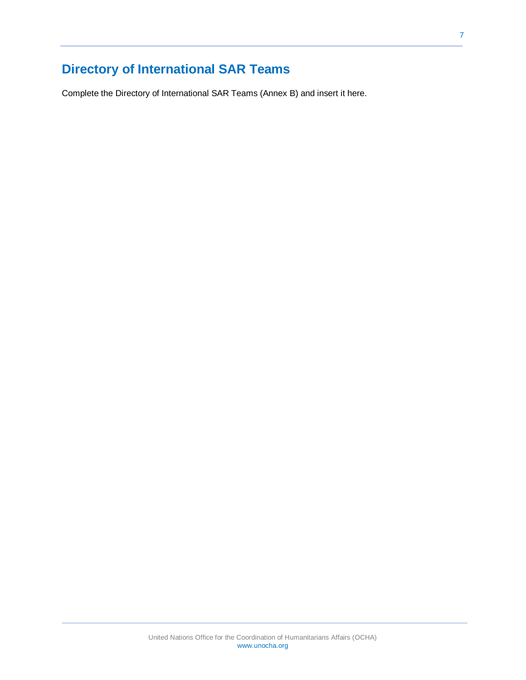# <span id="page-6-0"></span>**Directory of International SAR Teams**

Complete the Directory of International SAR Teams (Annex B) and insert it here.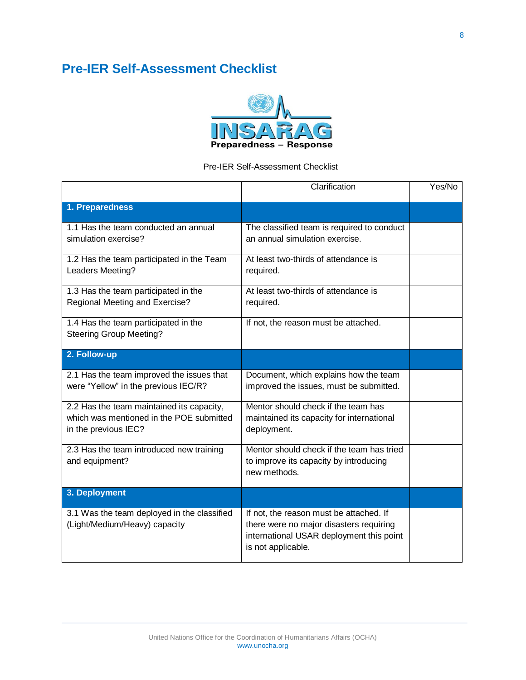# <span id="page-7-0"></span>**Pre-IER Self-Assessment Checklist**



#### Pre-IER Self-Assessment Checklist

|                                                                                                               | Clarification                                                                                                                                        | Yes/No |
|---------------------------------------------------------------------------------------------------------------|------------------------------------------------------------------------------------------------------------------------------------------------------|--------|
| 1. Preparedness                                                                                               |                                                                                                                                                      |        |
| 1.1 Has the team conducted an annual<br>simulation exercise?                                                  | The classified team is required to conduct<br>an annual simulation exercise.                                                                         |        |
| 1.2 Has the team participated in the Team<br>Leaders Meeting?                                                 | At least two-thirds of attendance is<br>required.                                                                                                    |        |
| 1.3 Has the team participated in the<br>Regional Meeting and Exercise?                                        | At least two-thirds of attendance is<br>required.                                                                                                    |        |
| 1.4 Has the team participated in the<br><b>Steering Group Meeting?</b>                                        | If not, the reason must be attached.                                                                                                                 |        |
| 2. Follow-up                                                                                                  |                                                                                                                                                      |        |
| 2.1 Has the team improved the issues that<br>were "Yellow" in the previous IEC/R?                             | Document, which explains how the team<br>improved the issues, must be submitted.                                                                     |        |
| 2.2 Has the team maintained its capacity,<br>which was mentioned in the POE submitted<br>in the previous IEC? | Mentor should check if the team has<br>maintained its capacity for international<br>deployment.                                                      |        |
| 2.3 Has the team introduced new training<br>and equipment?                                                    | Mentor should check if the team has tried<br>to improve its capacity by introducing<br>new methods.                                                  |        |
| 3. Deployment                                                                                                 |                                                                                                                                                      |        |
| 3.1 Was the team deployed in the classified<br>(Light/Medium/Heavy) capacity                                  | If not, the reason must be attached. If<br>there were no major disasters requiring<br>international USAR deployment this point<br>is not applicable. |        |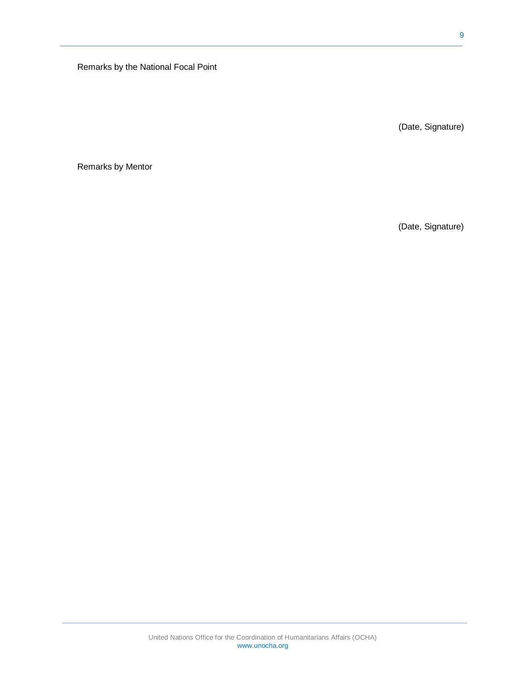Remarks by the National Focal Point

(Date, Signature)

Remarks by Mentor

(Date, Signature)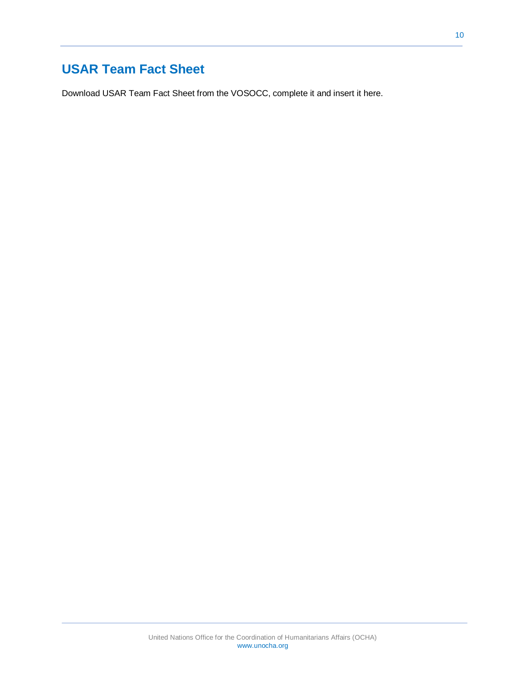### <span id="page-9-0"></span>**USAR Team Fact Sheet**

Download USAR Team Fact Sheet from the VOSOCC, complete it and insert it here.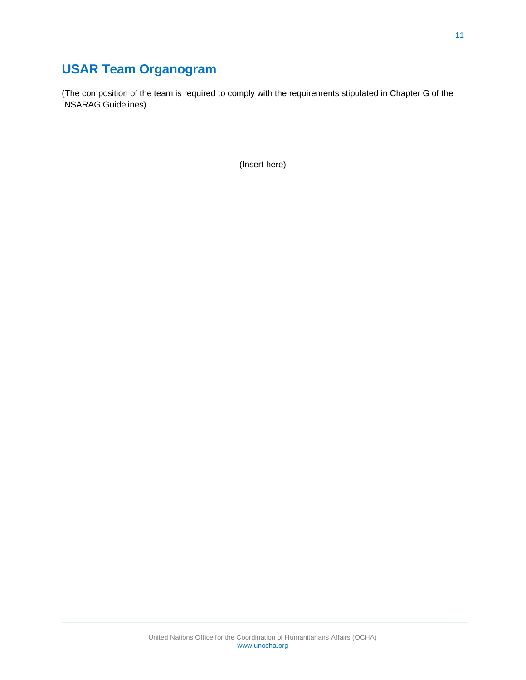# <span id="page-10-0"></span>**USAR Team Organogram**

(The composition of the team is required to comply with the requirements stipulated in Chapter G of the INSARAG Guidelines).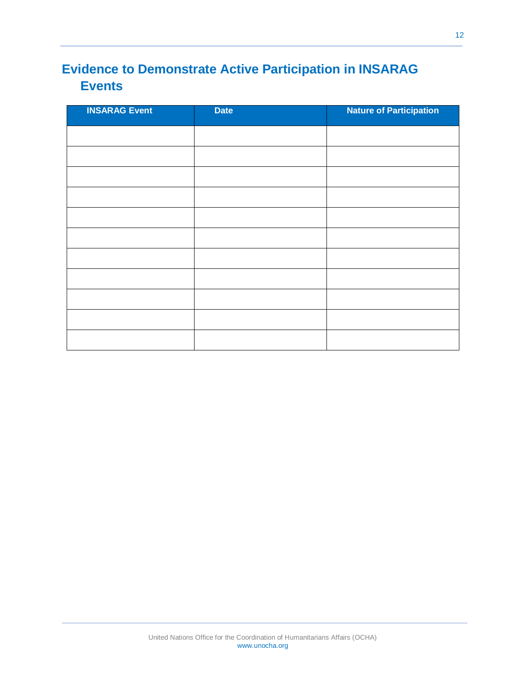# <span id="page-11-0"></span>**Evidence to Demonstrate Active Participation in INSARAG Events**

| <b>INSARAG Event</b><br>h. | <b>Date</b> | <b>Nature of Participation</b> |
|----------------------------|-------------|--------------------------------|
|                            |             |                                |
|                            |             |                                |
|                            |             |                                |
|                            |             |                                |
|                            |             |                                |
|                            |             |                                |
|                            |             |                                |
|                            |             |                                |
|                            |             |                                |
|                            |             |                                |
|                            |             |                                |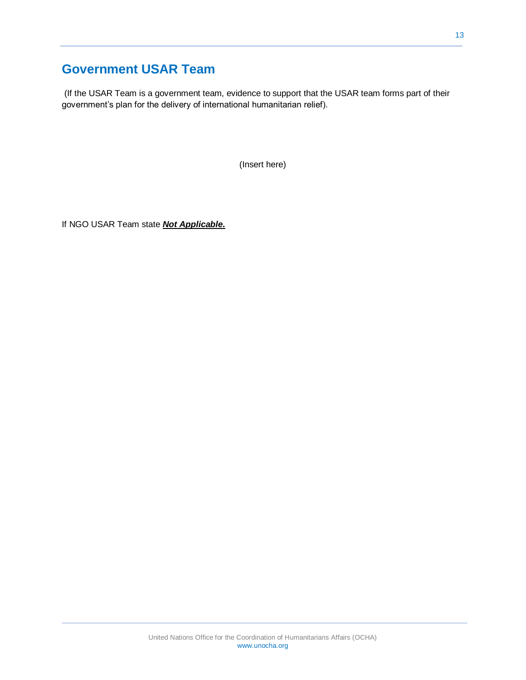### <span id="page-12-0"></span>**Government USAR Team**

(If the USAR Team is a government team, evidence to support that the USAR team forms part of their government's plan for the delivery of international humanitarian relief).

(Insert here)

If NGO USAR Team state *Not Applicable.*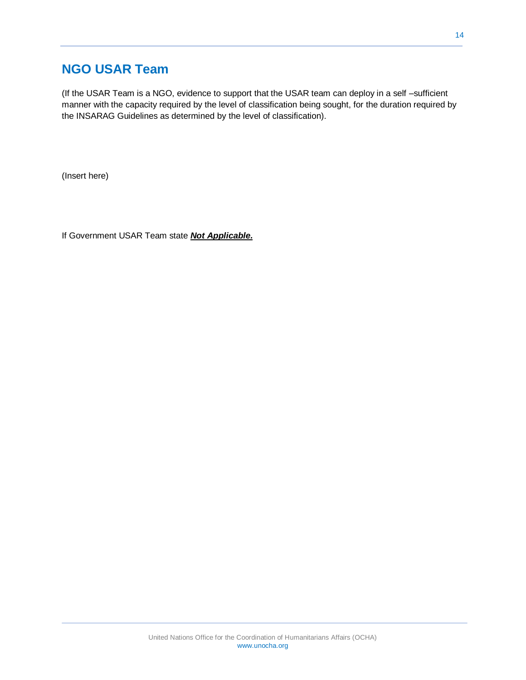### <span id="page-13-0"></span>**NGO USAR Team**

(If the USAR Team is a NGO, evidence to support that the USAR team can deploy in a self –sufficient manner with the capacity required by the level of classification being sought, for the duration required by the INSARAG Guidelines as determined by the level of classification).

(Insert here)

If Government USAR Team state *Not Applicable.*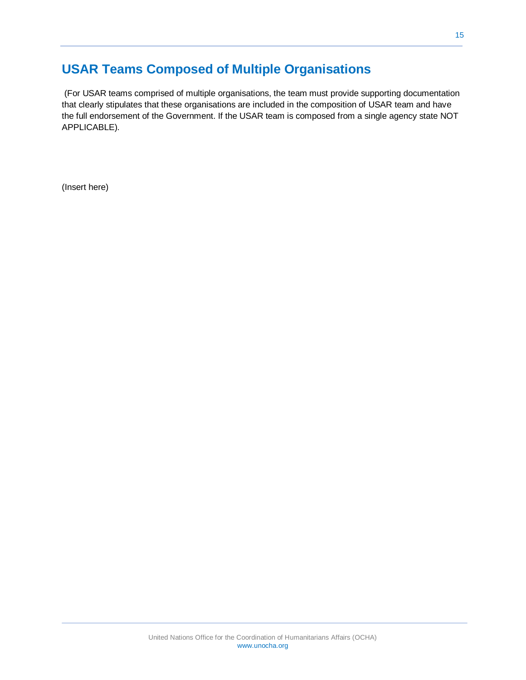## <span id="page-14-0"></span>**USAR Teams Composed of Multiple Organisations**

(For USAR teams comprised of multiple organisations, the team must provide supporting documentation that clearly stipulates that these organisations are included in the composition of USAR team and have the full endorsement of the Government. If the USAR team is composed from a single agency state NOT APPLICABLE).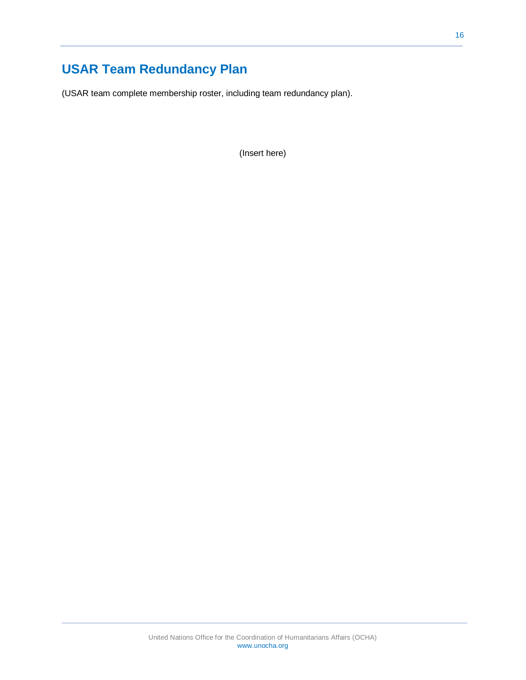# <span id="page-15-0"></span>**USAR Team Redundancy Plan**

(USAR team complete membership roster, including team redundancy plan).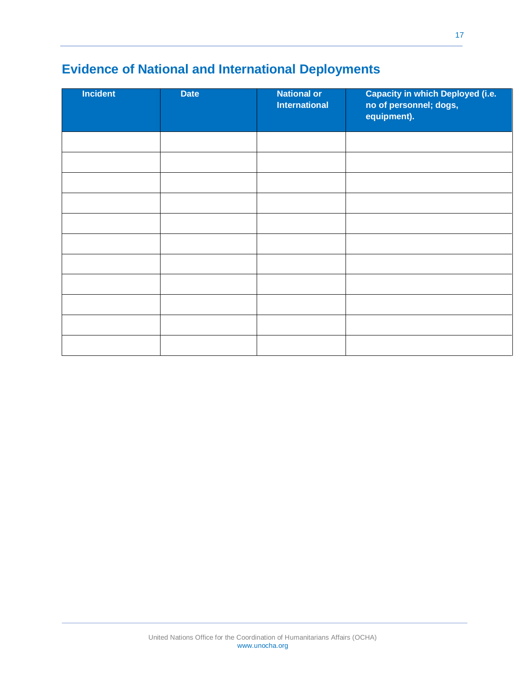# <span id="page-16-0"></span>**Evidence of National and International Deployments**

| Incident | <b>Date</b> | <b>National or</b><br><b>International</b> | <b>Capacity in which Deployed (i.e.</b><br>no of personnel; dogs,<br>equipment). |
|----------|-------------|--------------------------------------------|----------------------------------------------------------------------------------|
|          |             |                                            |                                                                                  |
|          |             |                                            |                                                                                  |
|          |             |                                            |                                                                                  |
|          |             |                                            |                                                                                  |
|          |             |                                            |                                                                                  |
|          |             |                                            |                                                                                  |
|          |             |                                            |                                                                                  |
|          |             |                                            |                                                                                  |
|          |             |                                            |                                                                                  |
|          |             |                                            |                                                                                  |
|          |             |                                            |                                                                                  |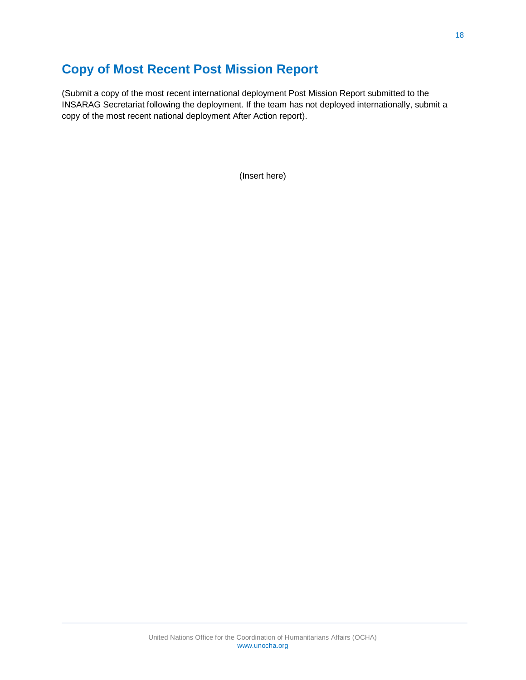## <span id="page-17-0"></span>**Copy of Most Recent Post Mission Report**

(Submit a copy of the most recent international deployment Post Mission Report submitted to the INSARAG Secretariat following the deployment. If the team has not deployed internationally, submit a copy of the most recent national deployment After Action report).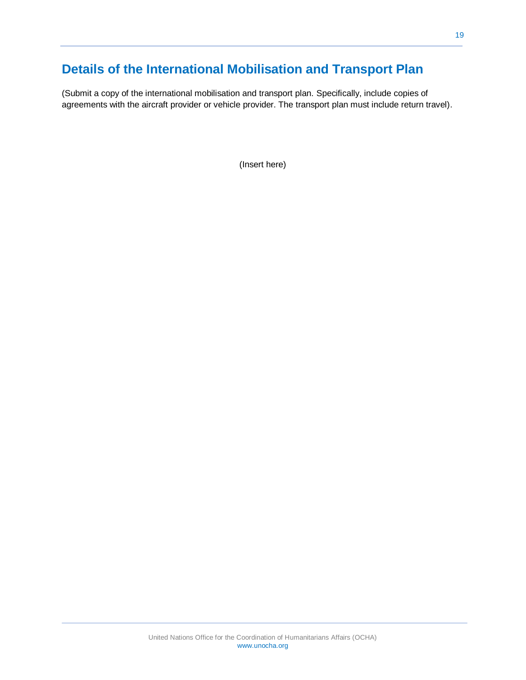# <span id="page-18-0"></span>**Details of the International Mobilisation and Transport Plan**

(Submit a copy of the international mobilisation and transport plan. Specifically, include copies of agreements with the aircraft provider or vehicle provider. The transport plan must include return travel).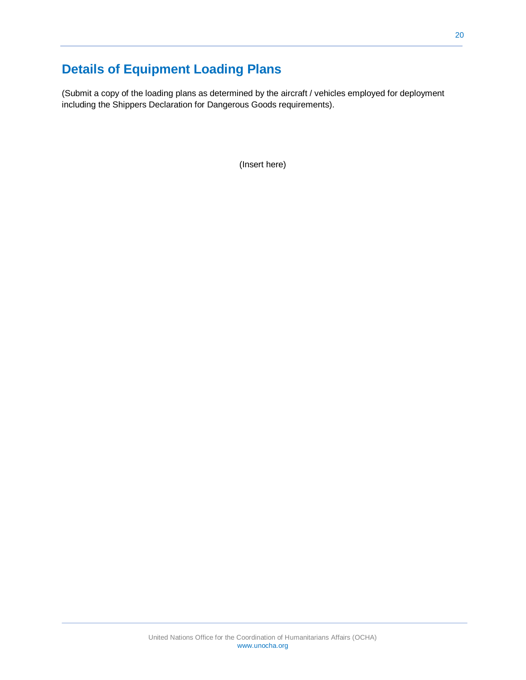# <span id="page-19-0"></span>**Details of Equipment Loading Plans**

(Submit a copy of the loading plans as determined by the aircraft / vehicles employed for deployment including the Shippers Declaration for Dangerous Goods requirements).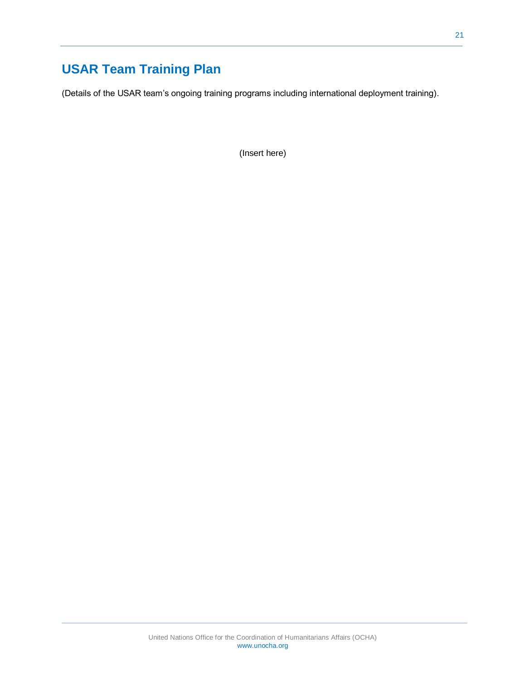# <span id="page-20-0"></span>**USAR Team Training Plan**

(Details of the USAR team's ongoing training programs including international deployment training).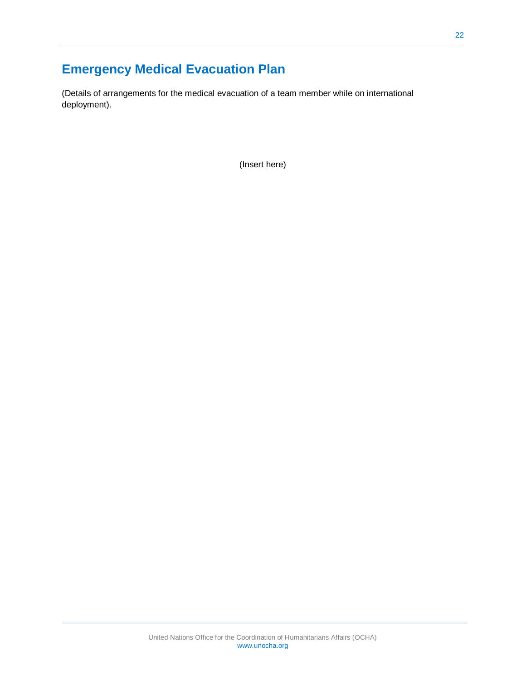# <span id="page-21-0"></span>**Emergency Medical Evacuation Plan**

(Details of arrangements for the medical evacuation of a team member while on international deployment).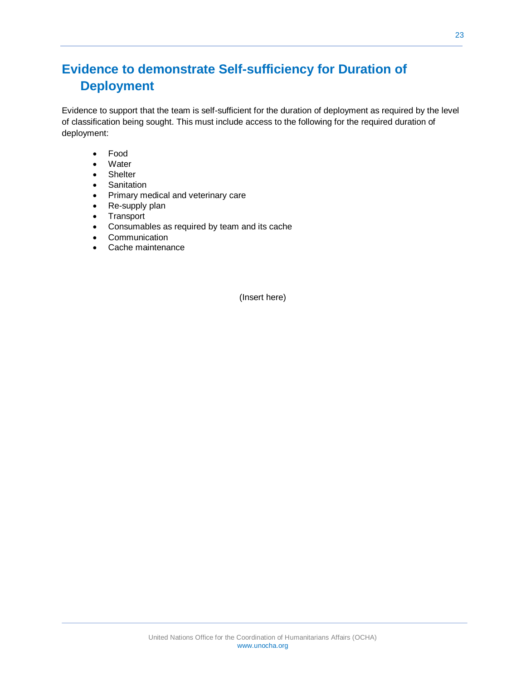# <span id="page-22-0"></span>**Evidence to demonstrate Self-sufficiency for Duration of Deployment**

Evidence to support that the team is self-sufficient for the duration of deployment as required by the level of classification being sought. This must include access to the following for the required duration of deployment:

- Food
- Water
- Shelter
- **•** Sanitation
- Primary medical and veterinary care
- Re-supply plan
- Transport
- Consumables as required by team and its cache
- Communication
- Cache maintenance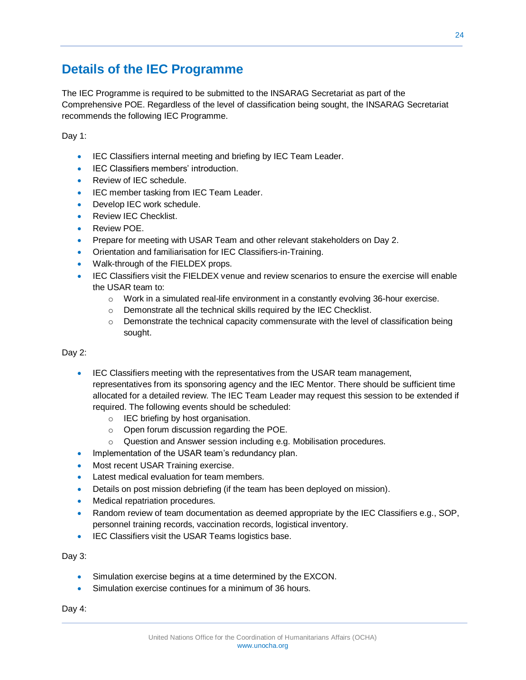### <span id="page-23-0"></span>**Details of the IEC Programme**

The IEC Programme is required to be submitted to the INSARAG Secretariat as part of the Comprehensive POE. Regardless of the level of classification being sought, the INSARAG Secretariat recommends the following IEC Programme.

Day 1:

- **IEC Classifiers internal meeting and briefing by IEC Team Leader.**
- **IEC Classifiers members' introduction.**
- Review of IEC schedule.
- IEC member tasking from IEC Team Leader.
- Develop IEC work schedule.
- Review IEC Checklist.
- Review POE.
- Prepare for meeting with USAR Team and other relevant stakeholders on Day 2.
- Orientation and familiarisation for IEC Classifiers-in-Training.
- Walk-through of the FIELDEX props.
- IEC Classifiers visit the FIELDEX venue and review scenarios to ensure the exercise will enable the USAR team to:
	- $\circ$  Work in a simulated real-life environment in a constantly evolving 36-hour exercise.
	- o Demonstrate all the technical skills required by the IEC Checklist.
	- $\circ$  Demonstrate the technical capacity commensurate with the level of classification being sought.

#### Day 2:

- IEC Classifiers meeting with the representatives from the USAR team management, representatives from its sponsoring agency and the IEC Mentor. There should be sufficient time allocated for a detailed review. The IEC Team Leader may request this session to be extended if required. The following events should be scheduled:
	- o IEC briefing by host organisation.
	- o Open forum discussion regarding the POE.
	- $\circ$  Question and Answer session including e.g. Mobilisation procedures.
- Implementation of the USAR team's redundancy plan.
- Most recent USAR Training exercise.
- Latest medical evaluation for team members.
- Details on post mission debriefing (if the team has been deployed on mission).
- Medical repatriation procedures.
- Random review of team documentation as deemed appropriate by the IEC Classifiers e.g., SOP, personnel training records, vaccination records, logistical inventory.
- **IEC Classifiers visit the USAR Teams logistics base.**

Day 3:

- Simulation exercise begins at a time determined by the EXCON.
- Simulation exercise continues for a minimum of 36 hours.

Day 4: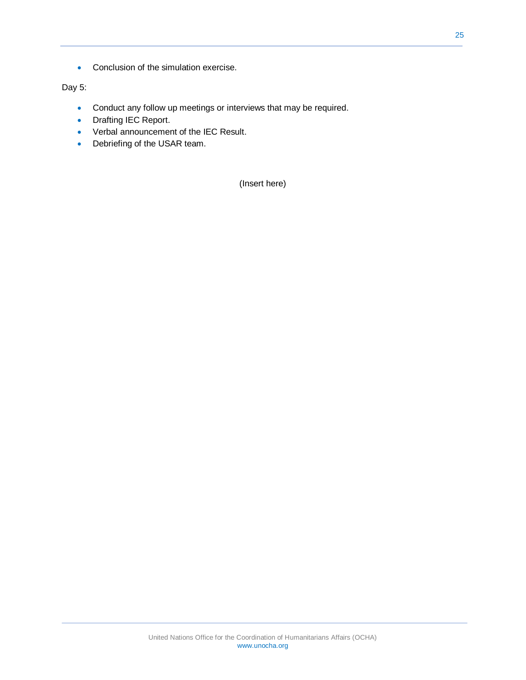• Conclusion of the simulation exercise.

Day 5:

- Conduct any follow up meetings or interviews that may be required.
- Drafting IEC Report.
- Verbal announcement of the IEC Result.
- Debriefing of the USAR team.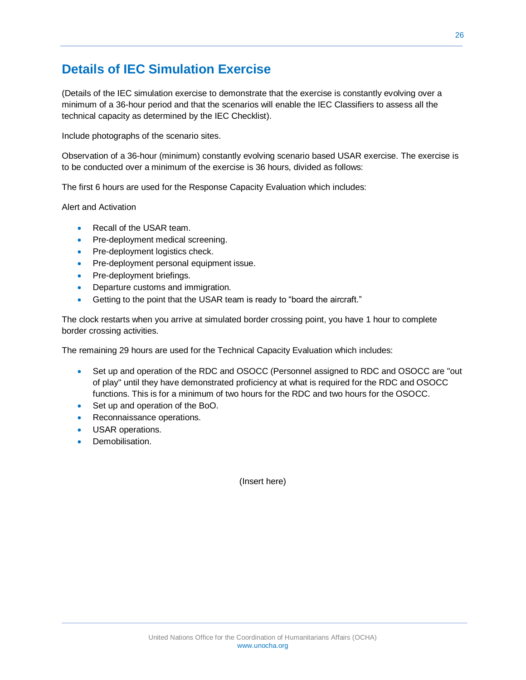### <span id="page-25-0"></span>**Details of IEC Simulation Exercise**

(Details of the IEC simulation exercise to demonstrate that the exercise is constantly evolving over a minimum of a 36-hour period and that the scenarios will enable the IEC Classifiers to assess all the technical capacity as determined by the IEC Checklist).

Include photographs of the scenario sites.

Observation of a 36-hour (minimum) constantly evolving scenario based USAR exercise. The exercise is to be conducted over a minimum of the exercise is 36 hours, divided as follows:

The first 6 hours are used for the Response Capacity Evaluation which includes:

Alert and Activation

- Recall of the USAR team.
- Pre-deployment medical screening.
- Pre-deployment logistics check.
- Pre-deployment personal equipment issue.
- Pre-deployment briefings.
- Departure customs and immigration.
- Getting to the point that the USAR team is ready to "board the aircraft."

The clock restarts when you arrive at simulated border crossing point, you have 1 hour to complete border crossing activities.

The remaining 29 hours are used for the Technical Capacity Evaluation which includes:

- Set up and operation of the RDC and OSOCC (Personnel assigned to RDC and OSOCC are "out of play" until they have demonstrated proficiency at what is required for the RDC and OSOCC functions. This is for a minimum of two hours for the RDC and two hours for the OSOCC.
- Set up and operation of the BoO.
- Reconnaissance operations.
- USAR operations.
- **Demobilisation**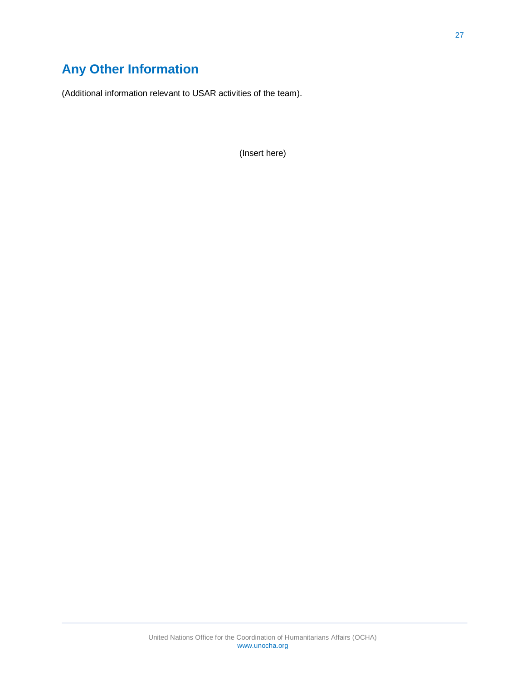# <span id="page-26-0"></span>**Any Other Information**

(Additional information relevant to USAR activities of the team).